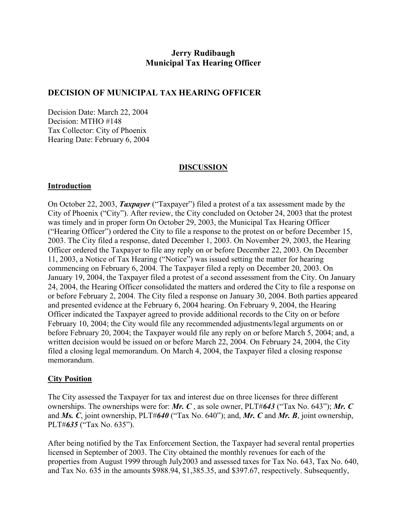# **Jerry Rudibaugh Municipal Tax Hearing Officer**

## **DECISION OF MUNICIPAL TAX HEARING OFFICER**

Decision Date: March 22, 2004 Decision: MTHO #148 Tax Collector: City of Phoenix Hearing Date: February 6, 2004

### **DISCUSSION**

#### **Introduction**

On October 22, 2003, *Taxpayer* ("Taxpayer") filed a protest of a tax assessment made by the City of Phoenix ("City"). After review, the City concluded on October 24, 2003 that the protest was timely and in proper form On October 29, 2003, the Municipal Tax Hearing Officer ("Hearing Officer") ordered the City to file a response to the protest on or before December 15, 2003. The City filed a response, dated December 1, 2003. On November 29, 2003, the Hearing Officer ordered the Taxpayer to file any reply on or before December 22, 2003. On December 11, 2003, a Notice of Tax Hearing ("Notice") was issued setting the matter for hearing commencing on February 6, 2004. The Taxpayer filed a reply on December 20, 2003. On January 19, 2004, the Taxpayer filed a protest of a second assessment from the City. On January 24, 2004, the Hearing Officer consolidated the matters and ordered the City to file a response on or before February 2, 2004. The City filed a response on January 30, 2004. Both parties appeared and presented evidence at the February 6, 2004 hearing. On February 9, 2004, the Hearing Officer indicated the Taxpayer agreed to provide additional records to the City on or before February 10, 2004; the City would file any recommended adjustments/legal arguments on or before February 20, 2004; the Taxpayer would file any reply on or before March 5, 2004; and, a written decision would be issued on or before March 22, 2004. On February 24, 2004, the City filed a closing legal memorandum. On March 4, 2004, the Taxpayer filed a closing response memorandum.

### **City Position**

The City assessed the Taxpayer for tax and interest due on three licenses for three different ownerships. The ownerships were for: *Mr. C* , as sole owner, PLT#*643* ("Tax No. 643"); *Mr. C*  and *Ms. C*, joint ownership, PLT#*640* ("Tax No. 640"); and, *Mr. C* and *Mr. B*, joint ownership, PLT#*635* ("Tax No. 635").

After being notified by the Tax Enforcement Section, the Taxpayer had several rental properties licensed in September of 2003. The City obtained the monthly revenues for each of the properties from August 1999 through July2003 and assessed taxes for Tax No. 643, Tax No. 640, and Tax No. 635 in the amounts \$988.94, \$1,385.35, and \$397.67, respectively. Subsequently,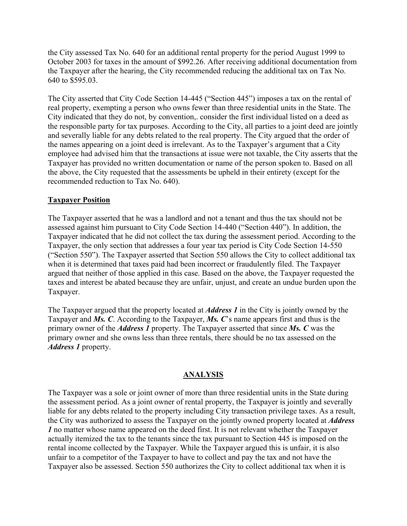the City assessed Tax No. 640 for an additional rental property for the period August 1999 to October 2003 for taxes in the amount of \$992.26. After receiving additional documentation from the Taxpayer after the hearing, the City recommended reducing the additional tax on Tax No. 640 to \$595.03.

The City asserted that City Code Section 14-445 ("Section 445") imposes a tax on the rental of real property, exempting a person who owns fewer than three residential units in the State. The City indicated that they do not, by convention,. consider the first individual listed on a deed as the responsible party for tax purposes. According to the City, all parties to a joint deed are jointly and severally liable for any debts related to the real property. The City argued that the order of the names appearing on a joint deed is irrelevant. As to the Taxpayer's argument that a City employee had advised him that the transactions at issue were not taxable, the City asserts that the Taxpayer has provided no written documentation or name of the person spoken to. Based on all the above, the City requested that the assessments be upheld in their entirety (except for the recommended reduction to Tax No. 640).

## **Taxpayer Position**

The Taxpayer asserted that he was a landlord and not a tenant and thus the tax should not be assessed against him pursuant to City Code Section 14-440 ("Section 440"). In addition, the Taxpayer indicated that he did not collect the tax during the assessment period. According to the Taxpayer, the only section that addresses a four year tax period is City Code Section 14-550 ("Section 550"). The Taxpayer asserted that Section 550 allows the City to collect additional tax when it is determined that taxes paid had been incorrect or fraudulently filed. The Taxpayer argued that neither of those applied in this case. Based on the above, the Taxpayer requested the taxes and interest be abated because they are unfair, unjust, and create an undue burden upon the Taxpayer.

The Taxpayer argued that the property located at *Address 1* in the City is jointly owned by the Taxpayer and *Ms. C*. According to the Taxpayer, *Ms. C*'s name appears first and thus is the primary owner of the *Address 1* property. The Taxpayer asserted that since *Ms. C* was the primary owner and she owns less than three rentals, there should be no tax assessed on the *Address 1* property.

### **ANALYSIS**

The Taxpayer was a sole or joint owner of more than three residential units in the State during the assessment period. As a joint owner of rental property, the Taxpayer is jointly and severally liable for any debts related to the property including City transaction privilege taxes. As a result, the City was authorized to assess the Taxpayer on the jointly owned property located at *Address 1* no matter whose name appeared on the deed first. It is not relevant whether the Taxpayer actually itemized the tax to the tenants since the tax pursuant to Section 445 is imposed on the rental income collected by the Taxpayer. While the Taxpayer argued this is unfair, it is also unfair to a competitor of the Taxpayer to have to collect and pay the tax and not have the Taxpayer also be assessed. Section 550 authorizes the City to collect additional tax when it is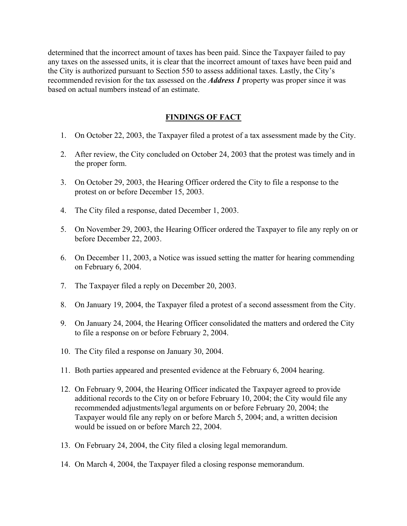determined that the incorrect amount of taxes has been paid. Since the Taxpayer failed to pay any taxes on the assessed units, it is clear that the incorrect amount of taxes have been paid and the City is authorized pursuant to Section 550 to assess additional taxes. Lastly, the City's recommended revision for the tax assessed on the *Address 1* property was proper since it was based on actual numbers instead of an estimate.

## **FINDINGS OF FACT**

- 1. On October 22, 2003, the Taxpayer filed a protest of a tax assessment made by the City.
- 2. After review, the City concluded on October 24, 2003 that the protest was timely and in the proper form.
- 3. On October 29, 2003, the Hearing Officer ordered the City to file a response to the protest on or before December 15, 2003.
- 4. The City filed a response, dated December 1, 2003.
- 5. On November 29, 2003, the Hearing Officer ordered the Taxpayer to file any reply on or before December 22, 2003.
- 6. On December 11, 2003, a Notice was issued setting the matter for hearing commending on February 6, 2004.
- 7. The Taxpayer filed a reply on December 20, 2003.
- 8. On January 19, 2004, the Taxpayer filed a protest of a second assessment from the City.
- 9. On January 24, 2004, the Hearing Officer consolidated the matters and ordered the City to file a response on or before February 2, 2004.
- 10. The City filed a response on January 30, 2004.
- 11. Both parties appeared and presented evidence at the February 6, 2004 hearing.
- 12. On February 9, 2004, the Hearing Officer indicated the Taxpayer agreed to provide additional records to the City on or before February 10, 2004; the City would file any recommended adjustments/legal arguments on or before February 20, 2004; the Taxpayer would file any reply on or before March 5, 2004; and, a written decision would be issued on or before March 22, 2004.
- 13. On February 24, 2004, the City filed a closing legal memorandum.
- 14. On March 4, 2004, the Taxpayer filed a closing response memorandum.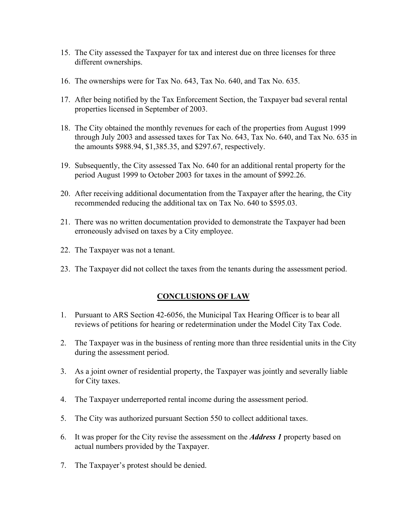- 15. The City assessed the Taxpayer for tax and interest due on three licenses for three different ownerships.
- 16. The ownerships were for Tax No. 643, Tax No. 640, and Tax No. 635.
- 17. After being notified by the Tax Enforcement Section, the Taxpayer bad several rental properties licensed in September of 2003.
- 18. The City obtained the monthly revenues for each of the properties from August 1999 through July 2003 and assessed taxes for Tax No. 643, Tax No. 640, and Tax No. 635 in the amounts \$988.94, \$1,385.35, and \$297.67, respectively.
- 19. Subsequently, the City assessed Tax No. 640 for an additional rental property for the period August 1999 to October 2003 for taxes in the amount of \$992.26.
- 20. After receiving additional documentation from the Taxpayer after the hearing, the City recommended reducing the additional tax on Tax No. 640 to \$595.03.
- 21. There was no written documentation provided to demonstrate the Taxpayer had been erroneously advised on taxes by a City employee.
- 22. The Taxpayer was not a tenant.
- 23. The Taxpayer did not collect the taxes from the tenants during the assessment period.

### **CONCLUSIONS OF LAW**

- 1. Pursuant to ARS Section 42-6056, the Municipal Tax Hearing Officer is to bear all reviews of petitions for hearing or redetermination under the Model City Tax Code.
- 2. The Taxpayer was in the business of renting more than three residential units in the City during the assessment period.
- 3. As a joint owner of residential property, the Taxpayer was jointly and severally liable for City taxes.
- 4. The Taxpayer underreported rental income during the assessment period.
- 5. The City was authorized pursuant Section 550 to collect additional taxes.
- 6. It was proper for the City revise the assessment on the *Address 1* property based on actual numbers provided by the Taxpayer.
- 7. The Taxpayer's protest should be denied.